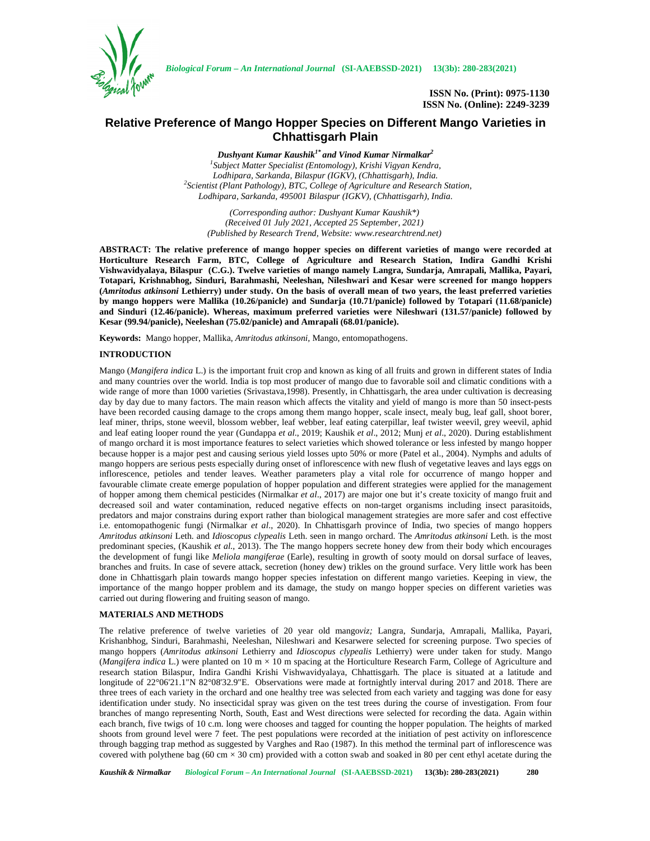

*Biological Forum – An International Journal* **(SI-AAEBSSD-2021) 13(3b): 280-283(2021)**

# **Relative Preference of Mango Hopper Species on Different Mango Varieties in Chhattisgarh Plain**

*Dushyant Kumar Kaushik1\* and Vinod Kumar Nirmalkar<sup>2</sup> <sup>1</sup>Subject Matter Specialist (Entomology), Krishi Vigyan Kendra, Lodhipara, Sarkanda, Bilaspur (IGKV), (Chhattisgarh), India. <sup>2</sup>Scientist (Plant Pathology), BTC, College of Agriculture and Research Station, Lodhipara, Sarkanda, 495001 Bilaspur (IGKV), (Chhattisgarh), India.*

*(Corresponding author: Dushyant Kumar Kaushik\*) (Received 01 July 2021, Accepted 25 September, 2021) (Published by Research Trend, Website: <www.researchtrend.net>)*

**ABSTRACT: The relative preference of mango hopper species on different varieties of mango were recorded at Horticulture Research Farm, BTC, College of Agriculture and Research Station, Indira Gandhi Krishi Vishwavidyalaya, Bilaspur (C.G.). Twelve varieties of mango namely Langra, Sundarja, Amrapali, Mallika, Payari, Totapari, Krishnabhog, Sinduri, Barahmashi, Neeleshan, Nileshwari and Kesar were screened for mango hoppers (***Amritodus atkinsoni* **Lethierry) under study. On the basis of overall mean of two years, the least preferred varieties by mango hoppers were Mallika (10.26/panicle) and Sundarja (10.71/panicle) followed by Totapari (11.68/panicle) and Sinduri (12.46/panicle). Whereas, maximum preferred varieties were Nileshwari (131.57/panicle) followed by Kesar (99.94/panicle), Neeleshan (75.02/panicle) and Amrapali (68.01/panicle).**

**Keywords:** Mango hopper, Mallika, *Amritodus atkinsoni,* Mango, entomopathogens.

# **INTRODUCTION**

Mango (*Mangifera indica* L.) is the important fruit crop and known as king of all fruits and grown in different states of India and many countries over the world. India is top most producer of mango due to favorable soil and climatic conditions with a wide range of more than 1000 varieties (Srivastava,1998). Presently, in Chhattisgarh, the area under cultivation is decreasing day by day due to many factors. The main reason which affects the vitality and yield of mango is more than 50 insect-pests have been recorded causing damage to the crops among them mango hopper, scale insect, mealy bug, leaf gall, shoot borer, leaf miner, thrips, stone weevil, blossom webber, leaf webber, leaf eating caterpillar, leaf twister weevil, grey weevil, aphid and leaf eating looper round the year (Gundappa *et al*., 2019; Kaushik *et al*., 2012; Munj *et al*., 2020). During establishment of mango orchard it is most importance features to select varieties which showed tolerance or less infested by mango hopper because hopper is a major pest and causing serious yield losses upto 50% or more (Patel et al., 2004). Nymphs and adults of mango hoppers are serious pests especially during onset of inflorescence with new flush of vegetative leaves and lays eggs on inflorescence, petioles and tender leaves. Weather parameters play a vital role for occurrence of mango hopper and favourable climate create emerge population of hopper population and different strategies were applied for the management of hopper among them chemical pesticides (Nirmalkar *et al*., 2017) are major one but it's create toxicity of mango fruit and decreased soil and water contamination, reduced negative effects on non-target organisms including insect parasitoids, predators and major constrains during export rather than biological management strategies are more safer and cost effective i.e. entomopathogenic fungi (Nirmalkar *et al*., 2020). In Chhattisgarh province of India, two species of mango hoppers *Amritodus atkinsoni* Leth. and *Idioscopus clypealis* Leth. seen in mango orchard. The *Amritodus atkinsoni* Leth. is the most predominant species, (Kaushik *et al.*, 2013). The The mango hoppers secrete honey dew from their body which encourages the development of fungi like *Meliola mangiferae* (Earle), resulting in growth of sooty mould on dorsal surface of leaves, branches and fruits. In case of severe attack, secretion (honey dew) trikles on the ground surface. Very little work has been done in Chhattisgarh plain towards mango hopper species infestation on different mango varieties. Keeping in view, the importance of the mango hopper problem and its damage, the study on mango hopper species on different varieties was carried out during flowering and fruiting season of mango.

## **MATERIALS AND METHODS**

The relative preference of twelve varieties of 20 year old mango*viz;* Langra, Sundarja, Amrapali, Mallika, Payari, Krishanbhog, Sinduri, Barahmashi, Neeleshan, Nileshwari and Kesarwere selected for screening purpose. Two species of mango hoppers (*Amritodus atkinsoni* Lethierry and *Idioscopus clypealis* Lethierry) were under taken for study. Mango (*Mangifera indica* L.) were planted on 10 m × 10 m spacing at the Horticulture Research Farm, College of Agriculture and research station Bilaspur, Indira Gandhi Krishi Vishwavidyalaya, Chhattisgarh. The place is situated at a latitude and longitude of 22°06'21.1"N 82°08'32.9"E. Observations were made at fortnightly interval during 2017 and 2018. There are three trees of each variety in the orchard and one healthy tree was selected from each variety and tagging was done for easy identification under study. No insecticidal spray was given on the test trees during the course of investigation. From four branches of mango representing North, South, East and West directions were selected for recording the data. Again within each branch, five twigs of 10 c.m. long were chooses and tagged for counting the hopper population. The heights of marked shoots from ground level were 7 feet. The pest populations were recorded at the initiation of pest activity on inflorescence through bagging trap method as suggested by Varghes and Rao (1987). In this method the terminal part of inflorescence was covered with polythene bag (60 cm  $\times$  30 cm) provided with a cotton swab and soaked in 80 per cent ethyl acetate during the

*Kaushik & Nirmalkar Biological Forum – An International Journal* **(SI-AAEBSSD-2021) 13(3b): 280-283(2021) 280**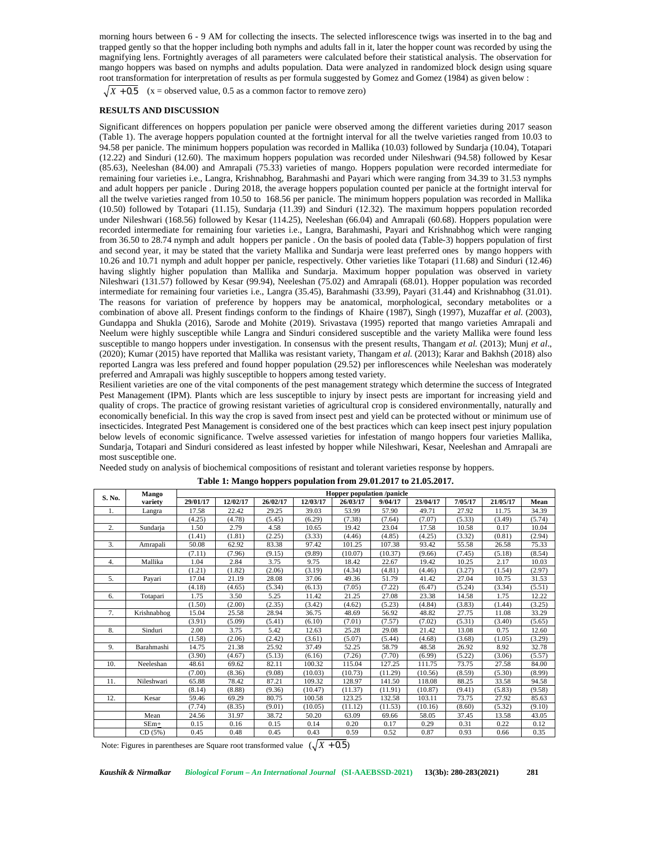morning hours between 6 - 9 AM for collecting the insects. The selected inflorescence twigs was inserted in to the bag and trapped gently so that the hopper including both nymphs and adults fall in it, later the hopper count was recorded by using the magnifying lens. Fortnightly averages of all parameters were calculated before their statistical analysis. The observation for mango hoppers was based on nymphs and adults population. Data were analyzed in randomized block design using square root transformation for interpretation of results as per formula suggested by Gomez and Gomez (1984) as given below : *X*  $X = \frac{1}{2}$  and  $X = \frac{1}{2}$  and  $X = \frac{1}{2}$  and  $X = \frac{1}{2}$  and  $X = \frac{1}{2}$  and  $X = \frac{1}{2}$  and  $X = \frac{1}{2}$  are propintly a vertage of all parameters were calculated before applying lens. Fortnightly averages of all p

## **RESULTS AND DISCUSSION**

Significant differences on hoppers population per panicle were observed among the different varieties during 2017 season (Table 1). The average hoppers population counted at the fortnight interval for all the twelve varieties ranged from 10.03 to 94.58 per panicle. The minimum hoppers population was recorded in Mallika (10.03) followed by Sundarja (10.04), Totapari (12.22) and Sinduri (12.60). The maximum hoppers population was recorded under Nileshwari (94.58) followed by Kesar (85.63), Neeleshan (84.00) and Amrapali (75.33) varieties of mango. Hoppers population were recorded intermediate for remaining four varieties i.e., Langra, Krishnabhog, Barahmashi and Payari which were ranging from 34.39 to 31.53 nymphs and adult hoppers per panicle . During 2018, the average hoppers population counted per panicle at the fortnight interval for all the twelve varieties ranged from 10.50 to 168.56 per panicle. The minimum hoppers population was recorded in Mallika (10.50) followed by Totapari (11.15), Sundarja (11.39) and Sinduri (12.32). The maximum hoppers population recorded under Nileshwari (168.56) followed by Kesar (114.25), Neeleshan (66.04) and Amrapali (60.68). Hoppers population were recorded intermediate for remaining four varieties i.e., Langra, Barahmashi, Payari and Krishnabhog which were ranging from 36.50 to 28.74 nymph and adult hoppers per panicle . On the basis of pooled data (Table-3) hoppers population of first and second year, it may be stated that the variety Mallika and Sundarja were least preferred ones by mango hoppers with 10.26 and 10.71 nymph and adult hopper per panicle, respectively. Other varieties like Totapari (11.68) and Sinduri (12.46) having slightly higher population than Mallika and Sundarja. Maximum hopper population was observed in variety Nileshwari (131.57) followed by Kesar (99.94), Neeleshan (75.02) and Amrapali (68.01). Hopper population was recorded intermediate for remaining four varieties i.e., Langra (35.45), Barahmashi (33.99), Payari (31.44) and Krishnabhog (31.01). The reasons for variation of preference by hoppers may be anatomical, morphological, secondary metabolites or a combination of above all. Present findings conform to the findings of Khaire (1987), Singh (1997), Muzaffar *et al.* (2003), Gundappa and Shukla (2016), Sarode and Mohite (2019). Srivastava (1995) reported that mango varieties Amrapali and Neelum were highly susceptible while Langra and Sinduri considered susceptible and the variety Mallika were found less susceptible to mango hoppers under investigation. In consensus with the present results, Thangam *et al.* (2013); Munj *et al*., (2020); Kumar (2015) have reported that Mallika was resistant variety, Thangam *et al.* (2013); Karar and Bakhsh (2018) also reported Langra was less prefered and found hopper population (29.52) per inflorescences while Neeleshan was moderately preferred and Amrapali was highly susceptible to hoppers among tested variety.

Resilient varieties are one of the vital components of the pest management strategy which determine the success of Integrated Pest Management (IPM). Plants which are less susceptible to injury by insect pests are important for increasing yield and quality of crops. The practice of growing resistant varieties of agricultural crop is considered environmentally, naturally and economically beneficial. In this way the crop is saved from insect pest and yield can be protected without or minimum use of insecticides. Integrated Pest Management is considered one of the best practices which can keep insect pest injury population below levels of economic significance. Twelve assessed varieties for infestation of mango hoppers four varieties Mallika, Sundarja, Totapari and Sinduri considered as least infested by hopper while Nileshwari, Kesar, Neeleshan and Amrapali are most susceptible one.

| S. No.                                                                                                                                                                                                       | Mango       | Hopper population /panicle |          |          |          |          |         |          |         |          |        |
|--------------------------------------------------------------------------------------------------------------------------------------------------------------------------------------------------------------|-------------|----------------------------|----------|----------|----------|----------|---------|----------|---------|----------|--------|
|                                                                                                                                                                                                              | variety     | 29/01/17                   | 12/02/17 | 26/02/17 | 12/03/17 | 26/03/17 | 9/04/17 | 23/04/17 | 7/05/17 | 21/05/17 | Mean   |
| 1.                                                                                                                                                                                                           | Langra      | 17.58                      | 22.42    | 29.25    | 39.03    | 53.99    | 57.90   | 49.71    | 27.92   | 11.75    | 34.39  |
|                                                                                                                                                                                                              |             | (4.25)                     | (4.78)   | (5.45)   | (6.29)   | (7.38)   | (7.64)  | (7.07)   | (5.33)  | (3.49)   | (5.74) |
| 2.                                                                                                                                                                                                           | Sundarja    | 1.50                       | 2.79     | 4.58     | 10.65    | 19.42    | 23.04   | 17.58    | 10.58   | 0.17     | 10.04  |
|                                                                                                                                                                                                              |             | (1.41)                     | (1.81)   | (2.25)   | (3.33)   | (4.46)   | (4.85)  | (4.25)   | (3.32)  | (0.81)   | (2.94) |
| 3.                                                                                                                                                                                                           | Amrapali    | 50.08                      | 62.92    | 83.38    | 97.42    | 101.25   | 107.38  | 93.42    | 55.58   | 26.58    | 75.33  |
|                                                                                                                                                                                                              |             | (7.11)                     | (7.96)   | (9.15)   | (9.89)   | (10.07)  | (10.37) | (9.66)   | (7.45)  | (5.18)   | (8.54) |
| 4.                                                                                                                                                                                                           | Mallika     | 1.04                       | 2.84     | 3.75     | 9.75     | 18.42    | 22.67   | 19.42    | 10.25   | 2.17     | 10.03  |
|                                                                                                                                                                                                              |             | (1.21)                     | (1.82)   | (2.06)   | (3.19)   | (4.34)   | (4.81)  | (4.46)   | (3.27)  | (1.54)   | (2.97) |
| 5.                                                                                                                                                                                                           | Payari      | 17.04                      | 21.19    | 28.08    | 37.06    | 49.36    | 51.79   | 41.42    | 27.04   | 10.75    | 31.53  |
|                                                                                                                                                                                                              |             | (4.18)                     | (4.65)   | (5.34)   | (6.13)   | (7.05)   | (7.22)  | (6.47)   | (5.24)  | (3.34)   | (5.51) |
| 6.                                                                                                                                                                                                           | Totapari    | 1.75                       | 3.50     | 5.25     | 11.42    | 21.25    | 27.08   | 23.38    | 14.58   | 1.75     | 12.22  |
|                                                                                                                                                                                                              |             | (1.50)                     | (2.00)   | (2.35)   | (3.42)   | (4.62)   | (5.23)  | (4.84)   | (3.83)  | (1.44)   | (3.25) |
| 7.                                                                                                                                                                                                           | Krishnabhog | 15.04                      | 25.58    | 28.94    | 36.75    | 48.69    | 56.92   | 48.82    | 27.75   | 11.08    | 33.29  |
|                                                                                                                                                                                                              |             | (3.91)                     | (5.09)   | (5.41)   | (6.10)   | (7.01)   | (7.57)  | (7.02)   | (5.31)  | (3.40)   | (5.65) |
| 8.                                                                                                                                                                                                           | Sinduri     | 2.00                       | 3.75     | 5.42     | 12.63    | 25.28    | 29.08   | 21.42    | 13.08   | 0.75     | 12.60  |
|                                                                                                                                                                                                              |             | (1.58)                     | (2.06)   | (2.42)   | (3.61)   | (5.07)   | (5.44)  | (4.68)   | (3.68)  | (1.05)   | (3.29) |
| 9.                                                                                                                                                                                                           | Barahmashi  | 14.75                      | 21.38    | 25.92    | 37.49    | 52.25    | 58.79   | 48.58    | 26.92   | 8.92     | 32.78  |
|                                                                                                                                                                                                              |             | (3.90)                     | (4.67)   | (5.13)   | (6.16)   | (7.26)   | (7.70)  | (6.99)   | (5.22)  | (3.06)   | (5.57) |
| 10.                                                                                                                                                                                                          | Neeleshan   | 48.61                      | 69.62    | 82.11    | 100.32   | 115.04   | 127.25  | 111.75   | 73.75   | 27.58    | 84.00  |
|                                                                                                                                                                                                              |             | (7.00)                     | (8.36)   | (9.08)   | (10.03)  | (10.73)  | (11.29) | (10.56)  | (8.59)  | (5.30)   | (8.99) |
| 11.                                                                                                                                                                                                          | Nileshwari  | 65.88                      | 78.42    | 87.21    | 109.32   | 128.97   | 141.50  | 118.08   | 88.25   | 33.58    | 94.58  |
|                                                                                                                                                                                                              |             | (8.14)                     | (8.88)   | (9.36)   | (10.47)  | (11.37)  | (11.91) | (10.87)  | (9.41)  | (5.83)   | (9.58) |
| 12.                                                                                                                                                                                                          | Kesar       | 59.46                      | 69.29    | 80.75    | 100.58   | 123.25   | 132.58  | 103.11   | 73.75   | 27.92    | 85.63  |
|                                                                                                                                                                                                              |             | (7.74)                     | (8.35)   | (9.01)   | (10.05)  | (11.12)  | (11.53) | (10.16)  | (8.60)  | (5.32)   | (9.10) |
|                                                                                                                                                                                                              | Mean        | 24.56                      | 31.97    | 38.72    | 50.20    | 63.09    | 69.66   | 58.05    | 37.45   | 13.58    | 43.05  |
|                                                                                                                                                                                                              | $SEm+$      | 0.15                       | 0.16     | 0.15     | 0.14     | 0.20     | 0.17    | 0.29     | 0.31    | 0.22     | 0.12   |
|                                                                                                                                                                                                              | CD(5%)      | 0.45                       | 0.48     | 0.45     | 0.43     | 0.59     | 0.52    | 0.87     | 0.93    | 0.66     | 0.35   |
| Note: Figures in parentheses are Square root transformed value $(\sqrt{X} + 0.5)$<br>Biological Forum - An International Journal (SI-AAEBSSD-2021)<br>281<br>Kaushik & Nirmalkar<br>$13(3b)$ : 280-283(2021) |             |                            |          |          |          |          |         |          |         |          |        |

Needed study on analysis of biochemical compositions of resistant and tolerant varieties response by hoppers.

**Table 1: Mango hoppers population from 29.01.2017 to 21.05.2017.**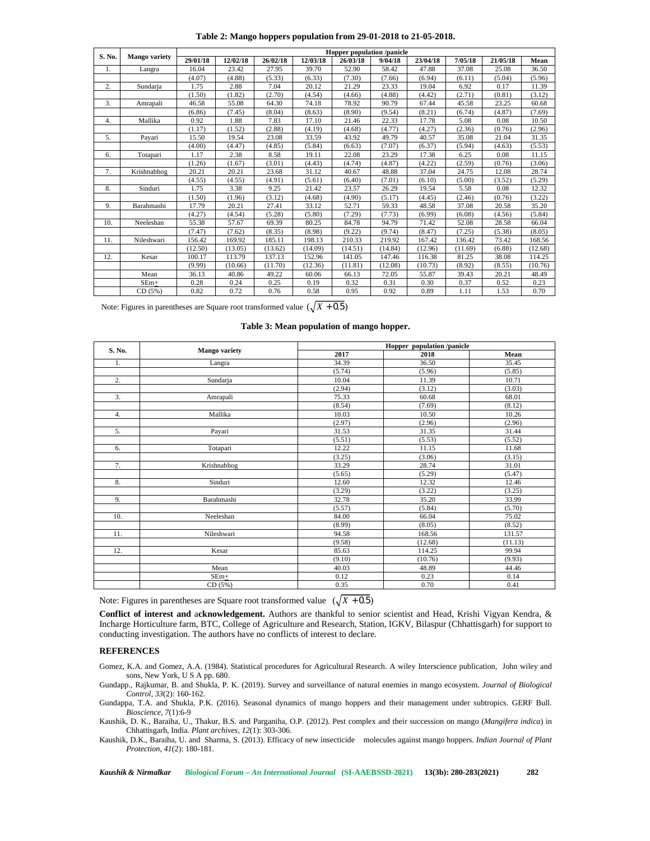| Table 2: Mango hoppers population from 29-01-2018 to 21-05-2018. |
|------------------------------------------------------------------|
|------------------------------------------------------------------|

|                                                       | Mango variety                                                                     | Hopper population /panicle |          |          |                                           |                  |         |          |         |          |         |  |
|-------------------------------------------------------|-----------------------------------------------------------------------------------|----------------------------|----------|----------|-------------------------------------------|------------------|---------|----------|---------|----------|---------|--|
| S. No.                                                |                                                                                   | 29/01/18                   | 12/02/18 | 26/02/18 | 12/03/18                                  | 26/03/18         | 9/04/18 | 23/04/18 | 7/05/18 | 21/05/18 | Mean    |  |
| 1.                                                    | Langra                                                                            | 16.04                      | 23.42    | 27.95    | 39.70                                     | 52.90            | 58.42   | 47.88    | 37.08   | 25.08    | 36.50   |  |
|                                                       |                                                                                   | (4.07)                     | (4.88)   | (5.33)   | (6.33)                                    | (7.30)           | (7.66)  | (6.94)   | (6.11)  | (5.04)   | (5.96)  |  |
| 2.                                                    | Sundarja                                                                          | 1.75                       | 2.88     | 7.04     | 20.12                                     | 21.29            | 23.33   | 19.04    | 6.92    | 0.17     | 11.39   |  |
|                                                       |                                                                                   | (1.50)                     | (1.82)   | (2.70)   | (4.54)                                    | (4.66)           | (4.88)  | (4.42)   | (2.71)  | (0.81)   | (3.12)  |  |
| 3.                                                    | Amrapali                                                                          | 46.58                      | 55.08    | 64.30    | 74.18                                     | 78.92            | 90.79   | 67.44    | 45.58   | 23.25    | 60.68   |  |
|                                                       |                                                                                   | (6.86)                     | (7.45)   | (8.04)   | (8.63)                                    | (8.90)           | (9.54)  | (8.21)   | (6.74)  | (4.87)   | (7.69)  |  |
| 4.                                                    | Mallika                                                                           | 0.92                       | 1.88     | 7.83     | 17.10                                     | 21.46            | 22.33   | 17.78    | 5.08    | 0.08     | 10.50   |  |
|                                                       |                                                                                   | (1.17)                     | (1.52)   | (2.88)   | (4.19)                                    | (4.68)           | (4.77)  | (4.27)   | (2.36)  | (0.76)   | (2.96)  |  |
| 5.                                                    | Payari                                                                            | 15.50                      | 19.54    | 23.08    | 33.59                                     | 43.92            | 49.79   | 40.57    | 35.08   | 21.04    | 31.35   |  |
|                                                       |                                                                                   | (4.00)                     | (4.47)   | (4.85)   | (5.84)                                    | (6.63)           | (7.07)  | (6.37)   | (5.94)  | (4.63)   | (5.53)  |  |
| 6.                                                    | Totapari                                                                          | 1.17                       | 2.38     | 8.58     | 19.11                                     | 22.08            | 23.29   | 17.38    | 6.25    | 0.08     | 11.15   |  |
|                                                       |                                                                                   | (1.26)                     | (1.67)   | (3.01)   | (4.43)                                    | (4.74)           | (4.87)  | (4.22)   | (2.59)  | (0.76)   | (3.06)  |  |
| 7.                                                    | Krishnabhog                                                                       | 20.21                      | 20.21    | 23.68    | 31.12                                     | 40.67            | 48.88   | 37.04    | 24.75   | 12.08    | 28.74   |  |
|                                                       |                                                                                   | (4.55)                     | (4.55)   | (4.91)   | (5.61)                                    | (6.40)           | (7.01)  | (6.10)   | (5.00)  | (3.52)   | (5.29)  |  |
| 8.                                                    | Sinduri                                                                           | 1.75                       | 3.38     | 9.25     | 21.42                                     | 23.57            | 26.29   | 19.54    | 5.58    | 0.08     | 12.32   |  |
|                                                       |                                                                                   | (1.50)                     | (1.96)   | (3.12)   | (4.68)                                    | (4.90)           | (5.17)  | (4.45)   | (2.46)  | (0.76)   | (3.22)  |  |
| 9.                                                    | Barahmashi                                                                        | 17.79                      | 20.21    | 27.41    | 33.12                                     | 52.71            | 59.33   | 48.58    | 37.08   | 20.58    | 35.20   |  |
|                                                       |                                                                                   | (4.27)                     | (4.54)   | (5.28)   | (5.80)                                    | (7.29)           | (7.73)  | (6.99)   | (6.08)  | (4.56)   | (5.84)  |  |
| 10.                                                   | Neeleshan                                                                         | 55.38                      | 57.67    | 69.39    | 80.25                                     | 84.78            | 94.79   | 71.42    | 52.08   | 28.58    | 66.04   |  |
|                                                       |                                                                                   | (7.47)                     | (7.62)   | (8.35)   | (8.98)                                    | (9.22)           | (9.74)  | (8.47)   | (7.25)  | (5.38)   | (8.05)  |  |
| 11.                                                   | Nileshwari                                                                        | 156.42                     | 169.92   | 185.11   | 198.13                                    | 210.33           | 219.92  | 167.42   | 136.42  | 73.42    | 168.56  |  |
|                                                       |                                                                                   | (12.50)                    | (13.05)  | (13.62)  | (14.09)                                   | (14.51)          | (14.84) | (12.96)  | (11.69) | (6.88)   | (12.68) |  |
| 12.                                                   | Kesar                                                                             | 100.17                     | 113.79   | 137.13   | 152.96                                    | 141.05           | 147.46  | 116.38   | 81.25   | 38.08    | 114.25  |  |
|                                                       |                                                                                   | (9.99)                     | (10.66)  | (11.70)  | (12.36)                                   | (11.81)          | (12.08) | (10.73)  | (8.92)  | (8.55)   | (10.76) |  |
|                                                       | Mean                                                                              | 36.13                      | 40.86    | 49.22    | 60.06                                     | 66.13            | 72.05   | 55.87    | 39.43   | 20.21    | 48.49   |  |
|                                                       | $SEm+$                                                                            | 0.28                       | 0.24     | 0.25     | 0.19                                      | 0.32             | 0.31    | 0.30     | 0.37    | 0.52     | 0.23    |  |
|                                                       | CD(5%)                                                                            | 0.82                       | 0.72     | 0.76     | 0.58                                      | 0.95             | 0.92    | 0.89     | 1.11    | 1.53     | 0.70    |  |
|                                                       | Note: Figures in parentheses are Square root transformed value $(\sqrt{X + 0.5})$ |                            |          |          | Table 3: Mean population of mango hopper. |                  |         |          |         |          |         |  |
| Hopper population /panicle<br>S. No.<br>Mango variety |                                                                                   |                            |          |          |                                           |                  |         |          |         |          |         |  |
|                                                       |                                                                                   |                            |          |          |                                           | 2017<br>2018     |         |          | Mean    |          |         |  |
| 1.                                                    |                                                                                   |                            | Langra   |          |                                           | 34.39            |         | 36.50    |         | 35.45    |         |  |
|                                                       |                                                                                   |                            |          |          |                                           | (5.96)<br>(5.74) |         |          | (5.85)  |          |         |  |
|                                                       |                                                                                   |                            |          |          |                                           |                  |         |          |         |          |         |  |

| S. No.                                                                                                                                                                                                                                                                                                                                                                                                                                           |               | Hopper population /panicle |         |         |  |  |  |  |  |
|--------------------------------------------------------------------------------------------------------------------------------------------------------------------------------------------------------------------------------------------------------------------------------------------------------------------------------------------------------------------------------------------------------------------------------------------------|---------------|----------------------------|---------|---------|--|--|--|--|--|
|                                                                                                                                                                                                                                                                                                                                                                                                                                                  | Mango variety | 2017                       | 2018    | Mean    |  |  |  |  |  |
| 1.                                                                                                                                                                                                                                                                                                                                                                                                                                               | Langra        | 34.39                      | 36.50   | 35.45   |  |  |  |  |  |
|                                                                                                                                                                                                                                                                                                                                                                                                                                                  |               | (5.74)                     | (5.96)  | (5.85)  |  |  |  |  |  |
| $\overline{2}$ .                                                                                                                                                                                                                                                                                                                                                                                                                                 | Sundarja      | 10.04                      | 11.39   | 10.71   |  |  |  |  |  |
|                                                                                                                                                                                                                                                                                                                                                                                                                                                  |               | (2.94)                     | (3.12)  | (3.03)  |  |  |  |  |  |
| $\overline{3}$ .                                                                                                                                                                                                                                                                                                                                                                                                                                 | Amrapali      | 75.33                      | 60.68   | 68.01   |  |  |  |  |  |
|                                                                                                                                                                                                                                                                                                                                                                                                                                                  |               | (8.54)                     | (7.69)  | (8.12)  |  |  |  |  |  |
| 4.                                                                                                                                                                                                                                                                                                                                                                                                                                               | Mallika       | 10.03                      | 10.50   | 10.26   |  |  |  |  |  |
|                                                                                                                                                                                                                                                                                                                                                                                                                                                  |               | (2.97)                     | (2.96)  | (2.96)  |  |  |  |  |  |
| 5.                                                                                                                                                                                                                                                                                                                                                                                                                                               | Payari        | 31.53                      | 31.35   | 31.44   |  |  |  |  |  |
|                                                                                                                                                                                                                                                                                                                                                                                                                                                  |               | (5.51)                     | (5.53)  | (5.52)  |  |  |  |  |  |
| 6.                                                                                                                                                                                                                                                                                                                                                                                                                                               | Totapari      | 12.22                      | 11.15   | 11.68   |  |  |  |  |  |
|                                                                                                                                                                                                                                                                                                                                                                                                                                                  |               | (3.25)                     | (3.06)  | (3.15)  |  |  |  |  |  |
| 7.                                                                                                                                                                                                                                                                                                                                                                                                                                               | Krishnabhog   | 33.29                      | 28.74   | 31.01   |  |  |  |  |  |
|                                                                                                                                                                                                                                                                                                                                                                                                                                                  |               | (5.65)                     | (5.29)  | (5.47)  |  |  |  |  |  |
| 8.                                                                                                                                                                                                                                                                                                                                                                                                                                               | Sinduri       | 12.60                      | 12.32   | 12.46   |  |  |  |  |  |
|                                                                                                                                                                                                                                                                                                                                                                                                                                                  |               | (3.29)                     | (3.22)  | (3.25)  |  |  |  |  |  |
| 9.                                                                                                                                                                                                                                                                                                                                                                                                                                               | Barahmashi    | 32.78                      | 35.20   | 33.99   |  |  |  |  |  |
|                                                                                                                                                                                                                                                                                                                                                                                                                                                  |               | (5.57)                     | (5.84)  | (5.70)  |  |  |  |  |  |
| 10.                                                                                                                                                                                                                                                                                                                                                                                                                                              | Neeleshan     | 84.00                      | 66.04   | 75.02   |  |  |  |  |  |
|                                                                                                                                                                                                                                                                                                                                                                                                                                                  |               | (8.99)                     | (8.05)  | (8.52)  |  |  |  |  |  |
| 11.                                                                                                                                                                                                                                                                                                                                                                                                                                              | Nileshwari    | 94.58                      | 168.56  | 131.57  |  |  |  |  |  |
|                                                                                                                                                                                                                                                                                                                                                                                                                                                  |               | (9.58)                     | (12.68) | (11.13) |  |  |  |  |  |
| 12.                                                                                                                                                                                                                                                                                                                                                                                                                                              | Kesar         | 85.63                      | 114.25  | 99.94   |  |  |  |  |  |
|                                                                                                                                                                                                                                                                                                                                                                                                                                                  |               | (9.10)                     | (10.76) | (9.93)  |  |  |  |  |  |
|                                                                                                                                                                                                                                                                                                                                                                                                                                                  | Mean          | 40.03                      | 48.89   | 44.46   |  |  |  |  |  |
|                                                                                                                                                                                                                                                                                                                                                                                                                                                  | $SEm+$        | 0.12                       | 0.23    | 0.14    |  |  |  |  |  |
|                                                                                                                                                                                                                                                                                                                                                                                                                                                  | CD(5%)        | 0.35                       | 0.70    | 0.41    |  |  |  |  |  |
| Note: Figures in parentheses are Square root transformed value $(\sqrt{X} + 0.5)$<br>Conflict of interest and acknowledgement. Authors are thankful to senior scientist and Head, Krishi Vigyan Kendra, &<br>Incharge Horticulture farm, BTC, College of Agriculture and Research, Station, IGKV, Bilaspur (Chhattisgarh) for support to<br>conducting investigation. The authors have no conflicts of interest to declare.<br><b>REFERENCES</b> |               |                            |         |         |  |  |  |  |  |
| Gomez, K.A. and Gomez, A.A. (1984). Statistical procedures for Agricultural Research. A wiley Interscience publication, John wiley and                                                                                                                                                                                                                                                                                                           |               |                            |         |         |  |  |  |  |  |
|                                                                                                                                                                                                                                                                                                                                                                                                                                                  |               |                            |         |         |  |  |  |  |  |

## **REFERENCES**

Gomez, K.A. and Gomez, A.A. (1984). Statistical procedures for Agricultural Research. A wiley Interscience publication, John wiley and sons, New York, U S A pp. 680.

Gundapp., Rajkumar, B. and Shukla, P. K. (2019). Survey and surveillance of natural enemies in mango ecosystem. *Journal of Biological Control, 33*(2): 160-162.

Gundappa, T.A. and Shukla, P.K. (2016). Seasonal dynamics of mango hoppers and their management under subtropics. GERF Bull. *Bioscience, 7*(1):6-9

Kaushik, D. K., Baraiha, U., Thakur, B.S. and Parganiha, O.P. (2012). Pest complex and their succession on mango (*Mangifera indica*) in Chhattisgarh, India. *Plant archives, 12*(1): 303-306.

Kaushik, D.K., Baraiha, U. and Sharma, S. (2013). Efficacy of new insecticide molecules against mango hoppers. *Indian Journal of Plant Protection*, *41*(2): 180-181.